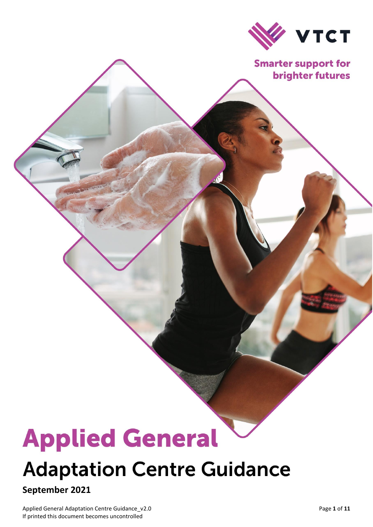

**Smarter support for brighter futures** 

# **Applied General**

# **Adaptation Centre Guidance**

# **September 2021**

Applied General Adaptation Centre Guidance\_v2.0 **Page 1** of 11 If printed this document becomes uncontrolled

Document Title

 $\overline{\phantom{0}}$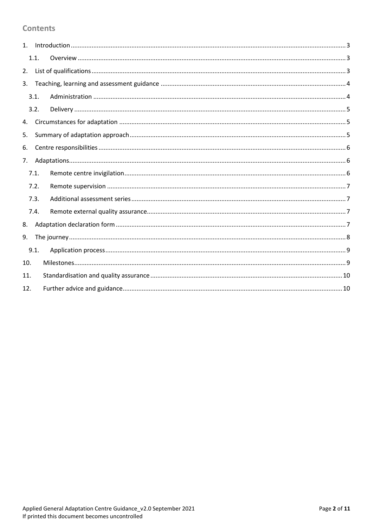#### **Contents**

|     | 1.1. |  |  |  |
|-----|------|--|--|--|
| 2.  |      |  |  |  |
| 3.  |      |  |  |  |
|     | 3.1. |  |  |  |
|     | 3.2. |  |  |  |
| 4.  |      |  |  |  |
| 5.  |      |  |  |  |
| 6.  |      |  |  |  |
| 7.  |      |  |  |  |
|     | 7.1. |  |  |  |
|     | 7.2. |  |  |  |
|     | 7.3. |  |  |  |
|     | 7.4. |  |  |  |
| 8.  |      |  |  |  |
| 9.  |      |  |  |  |
|     | 9.1. |  |  |  |
| 10. |      |  |  |  |
| 11. |      |  |  |  |
| 12. |      |  |  |  |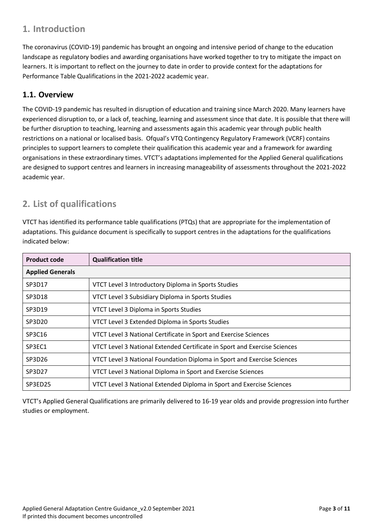# <span id="page-2-0"></span>**1. Introduction**

The coronavirus (COVID-19) pandemic has brought an ongoing and intensive period of change to the education landscape as regulatory bodies and awarding organisations have worked together to try to mitigate the impact on learners. It is important to reflect on the journey to date in order to provide context for the adaptations for Performance Table Qualifications in the 2021-2022 academic year.

#### <span id="page-2-1"></span>**1.1. Overview**

The COVID-19 pandemic has resulted in disruption of education and training since March 2020. Many learners have experienced disruption to, or a lack of, teaching, learning and assessment since that date. It is possible that there will be further disruption to teaching, learning and assessments again this academic year through public health restrictions on a national or localised basis. Ofqual's VTQ Contingency Regulatory Framework (VCRF) contains principles to support learners to complete their qualification this academic year and a framework for awarding organisations in these extraordinary times. VTCT's adaptations implemented for the Applied General qualifications are designed to support centres and learners in increasing manageability of assessments throughout the 2021-2022 academic year.

# <span id="page-2-2"></span>**2. List of qualifications**

VTCT has identified its performance table qualifications (PTQs) that are appropriate for the implementation of adaptations. This guidance document is specifically to support centres in the adaptations for the qualifications indicated below:

| <b>Product code</b>     | <b>Qualification title</b>                                                |
|-------------------------|---------------------------------------------------------------------------|
| <b>Applied Generals</b> |                                                                           |
| SP3D17                  | VTCT Level 3 Introductory Diploma in Sports Studies                       |
| SP3D18                  | VTCT Level 3 Subsidiary Diploma in Sports Studies                         |
| SP3D19                  | VTCT Level 3 Diploma in Sports Studies                                    |
| SP3D20                  | VTCT Level 3 Extended Diploma in Sports Studies                           |
| SP3C16                  | VTCT Level 3 National Certificate in Sport and Exercise Sciences          |
| SP3EC1                  | VTCT Level 3 National Extended Certificate in Sport and Exercise Sciences |
| SP3D26                  | VTCT Level 3 National Foundation Diploma in Sport and Exercise Sciences   |
| SP3D27                  | VTCT Level 3 National Diploma in Sport and Exercise Sciences              |
| SP3ED25                 | VTCT Level 3 National Extended Diploma in Sport and Exercise Sciences     |

VTCT's Applied General Qualifications are primarily delivered to 16-19 year olds and provide progression into further studies or employment.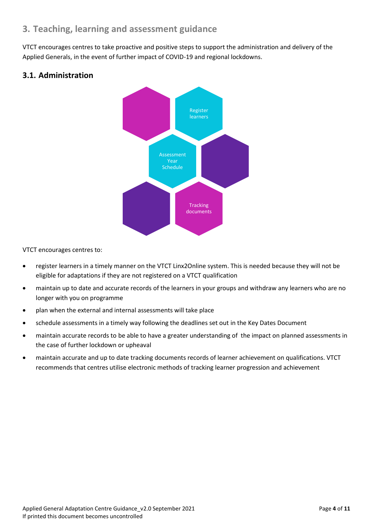# <span id="page-3-0"></span>**3. Teaching, learning and assessment guidance**

VTCT encourages centres to take proactive and positive steps to support the administration and delivery of the Applied Generals, in the event of further impact of COVID-19 and regional lockdowns.

#### <span id="page-3-1"></span>**3.1. Administration**



VTCT encourages centres to:

- register learners in a timely manner on the VTCT Linx2Online system. This is needed because they will not be eligible for adaptations if they are not registered on a VTCT qualification
- maintain up to date and accurate records of the learners in your groups and withdraw any learners who are no longer with you on programme
- plan when the external and internal assessments will take place
- schedule assessments in a timely way following the deadlines set out in the Key Dates Document
- maintain accurate records to be able to have a greater understanding of the impact on planned assessments in the case of further lockdown or upheaval
- maintain accurate and up to date tracking documents records of learner achievement on qualifications. VTCT recommends that centres utilise electronic methods of tracking learner progression and achievement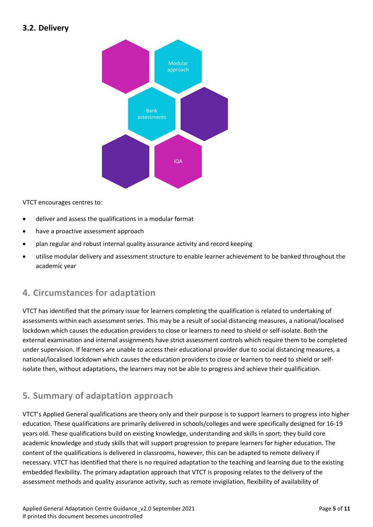#### <span id="page-4-0"></span>**3.2. Delivery**



VTCT encourages centres to:

- deliver and assess the qualifications in a modular format
- have a proactive assessment approach
- plan regular and robust internal quality assurance activity and record keeping
- utilise modular delivery and assessment structure to enable learner achievement to be banked throughout the academic year

#### <span id="page-4-1"></span>**4. Circumstances for adaptation**

VTCT has identified that the primary issue for learners completing the qualification is related to undertaking of assessments within each assessment series. This may be a result of social distancing measures, a national/localised lockdown which causes the education providers to close or learners to need to shield or self-isolate. Both the external examination and internal assignments have strict assessment controls which require them to be completed under supervision. If learners are unable to access their educational provider due to social distancing measures, a national/localised lockdown which causes the education providers to close or learners to need to shield or selfisolate then, without adaptations, the learners may not be able to progress and achieve their qualification.

# <span id="page-4-2"></span>**5. Summary of adaptation approach**

VTCT's Applied General qualifications are theory only and their purpose is to support learners to progress into higher education. These qualifications are primarily delivered in schools/colleges and were specifically designed for 16-19 years old. These qualifications build on existing knowledge, understanding and skills in sport; they build core academic knowledge and study skills that will support progression to prepare learners for higher education. The content of the qualifications is delivered in classrooms, however, this can be adapted to remote delivery if necessary. VTCT has identified that there is no required adaptation to the teaching and learning due to the existing embedded flexibility. The primary adaptation approach that VTCT is proposing relates to the delivery of the assessment methods and quality assurance activity, such as remote invigilation, flexibility of availability of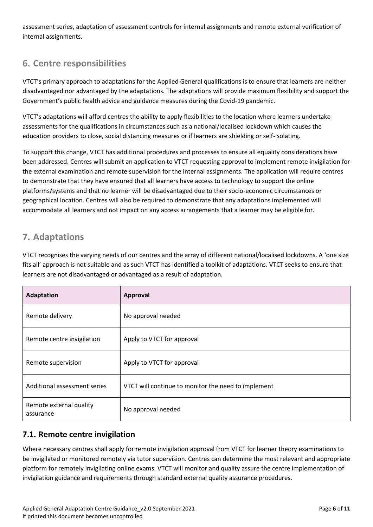assessment series, adaptation of assessment controls for internal assignments and remote external verification of internal assignments.

# <span id="page-5-0"></span>**6. Centre responsibilities**

VTCT's primary approach to adaptations for the Applied General qualifications is to ensure that learners are neither disadvantaged nor advantaged by the adaptations. The adaptations will provide maximum flexibility and support the Government's public health advice and guidance measures during the Covid-19 pandemic.

VTCT's adaptations will afford centres the ability to apply flexibilities to the location where learners undertake assessments for the qualifications in circumstances such as a national/localised lockdown which causes the education providers to close, social distancing measures or if learners are shielding or self-isolating.

To support this change, VTCT has additional procedures and processes to ensure all equality considerations have been addressed. Centres will submit an application to VTCT requesting approval to implement remote invigilation for the external examination and remote supervision for the internal assignments. The application will require centres to demonstrate that they have ensured that all learners have access to technology to support the online platforms/systems and that no learner will be disadvantaged due to their socio-economic circumstances or geographical location. Centres will also be required to demonstrate that any adaptations implemented will accommodate all learners and not impact on any access arrangements that a learner may be eligible for.

# <span id="page-5-1"></span>**7. Adaptations**

VTCT recognises the varying needs of our centres and the array of different national/localised lockdowns. A 'one size fits all' approach is not suitable and as such VTCT has identified a toolkit of adaptations. VTCT seeks to ensure that learners are not disadvantaged or advantaged as a result of adaptation.

| Adaptation                           | Approval                                            |
|--------------------------------------|-----------------------------------------------------|
| Remote delivery                      | No approval needed                                  |
| Remote centre invigilation           | Apply to VTCT for approval                          |
| Remote supervision                   | Apply to VTCT for approval                          |
| Additional assessment series         | VTCT will continue to monitor the need to implement |
| Remote external quality<br>assurance | No approval needed                                  |

# <span id="page-5-2"></span>**7.1. Remote centre invigilation**

Where necessary centres shall apply for remote invigilation approval from VTCT for learner theory examinations to be invigilated or monitored remotely via tutor supervision. Centres can determine the most relevant and appropriate platform for remotely invigilating online exams. VTCT will monitor and quality assure the centre implementation of invigilation guidance and requirements through standard external quality assurance procedures.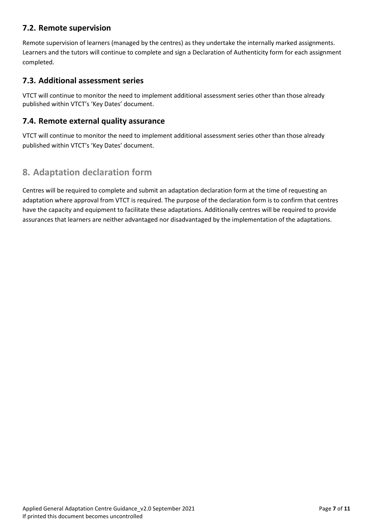#### <span id="page-6-0"></span>**7.2. Remote supervision**

Remote supervision of learners (managed by the centres) as they undertake the internally marked assignments. Learners and the tutors will continue to complete and sign a Declaration of Authenticity form for each assignment completed.

#### <span id="page-6-1"></span>**7.3. Additional assessment series**

VTCT will continue to monitor the need to implement additional assessment series other than those already published within VTCT's 'Key Dates' document.

#### <span id="page-6-2"></span>**7.4. Remote external quality assurance**

VTCT will continue to monitor the need to implement additional assessment series other than those already published within VTCT's 'Key Dates' document.

# <span id="page-6-3"></span>**8. Adaptation declaration form**

Centres will be required to complete and submit an adaptation declaration form at the time of requesting an adaptation where approval from VTCT is required. The purpose of the declaration form is to confirm that centres have the capacity and equipment to facilitate these adaptations. Additionally centres will be required to provide assurances that learners are neither advantaged nor disadvantaged by the implementation of the adaptations.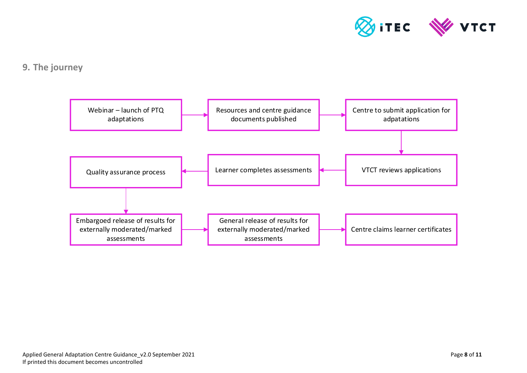

# **9. The journey**

<span id="page-7-0"></span>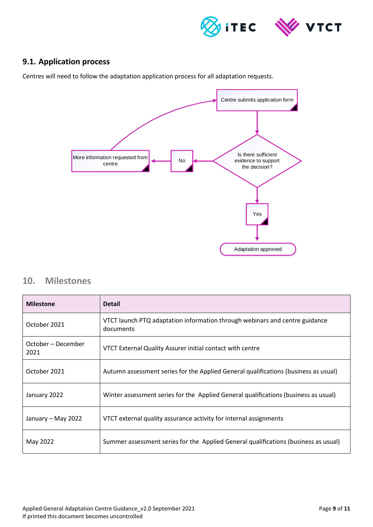

#### <span id="page-8-0"></span>**9.1. Application process**

Centres will need to follow the adaptation application process for all adaptation requests.



#### <span id="page-8-1"></span>**10. Milestones**

| <b>Milestone</b>           | <b>Detail</b>                                                                            |
|----------------------------|------------------------------------------------------------------------------------------|
| October 2021               | VTCT launch PTQ adaptation information through webinars and centre guidance<br>documents |
| October – December<br>2021 | VTCT External Quality Assurer initial contact with centre                                |
| October 2021               | Autumn assessment series for the Applied General qualifications (business as usual)      |
| January 2022               | Winter assessment series for the Applied General qualifications (business as usual)      |
| January – May 2022         | VTCT external quality assurance activity for internal assignments                        |
| May 2022                   | Summer assessment series for the Applied General qualifications (business as usual)      |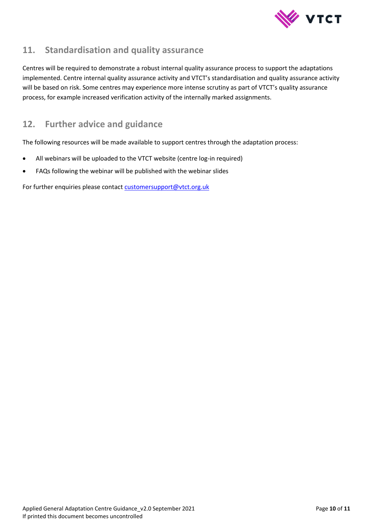

# <span id="page-9-0"></span>**11. Standardisation and quality assurance**

Centres will be required to demonstrate a robust internal quality assurance process to support the adaptations implemented. Centre internal quality assurance activity and VTCT's standardisation and quality assurance activity will be based on risk. Some centres may experience more intense scrutiny as part of VTCT's quality assurance process, for example increased verification activity of the internally marked assignments.

# <span id="page-9-1"></span>**12. Further advice and guidance**

The following resources will be made available to support centres through the adaptation process:

- All webinars will be uploaded to the VTCT website (centre log-in required)
- FAQs following the webinar will be published with the webinar slides

For further enquiries please contact customersupport@vtct.org.uk